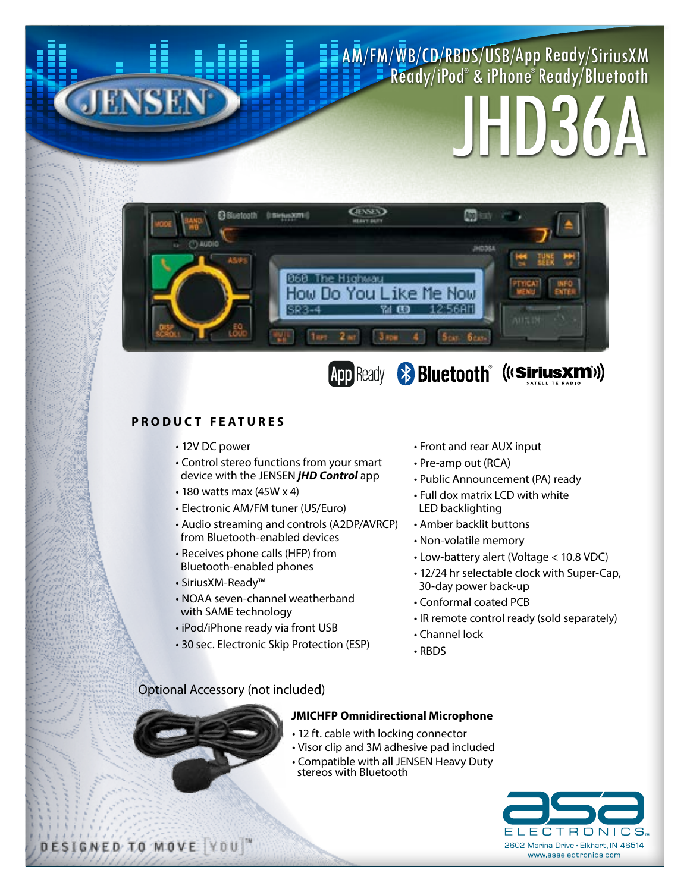#### AM/FM/WB/CD/RBDS/USB/App Ready/SiriusXM Ready/iPod® & iPhone® Ready/Bluetooth

# JHD36A



### App Ready **& Bluetooth** ((Sirius Xm))

#### **PRODUCT FEATURES**

**JENSEN** 

- 12V DC power
- Control stereo functions from your smart device with the JENSEN *jHD Control* app
- 180 watts max (45W x 4)
- Electronic AM/FM tuner (US/Euro)
- Audio streaming and controls (A2DP/AVRCP) from Bluetooth-enabled devices
- Receives phone calls (HFP) from Bluetooth-enabled phones
- SiriusXM-Ready™
- NOAA seven-channel weatherband with SAME technology
- iPod/iPhone ready via front USB
- 30 sec. Electronic Skip Protection (ESP)
- Front and rear AUX input
- Pre-amp out (RCA)
- Public Announcement (PA) ready
- Full dox matrix LCD with white LED backlighting
- Amber backlit buttons
- Non-volatile memory
- Low-battery alert (Voltage < 10.8 VDC)
- 12/24 hr selectable clock with Super-Cap, 30-day power back-up
- Conformal coated PCB
- IR remote control ready (sold separately)
- Channel lock
- RBDS

#### Optional Accessory (not included)





- 12 ft. cable with locking connector
- Visor clip and 3M adhesive pad included
- Compatible with all JENSEN Heavy Duty stereos with Bluetooth



DESIGNED TO MOVE YOU"